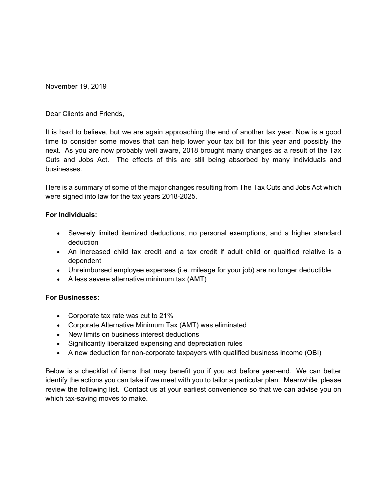November 19, 2019

Dear Clients and Friends,

It is hard to believe, but we are again approaching the end of another tax year. Now is a good time to consider some moves that can help lower your tax bill for this year and possibly the next. As you are now probably well aware, 2018 brought many changes as a result of the Tax Cuts and Jobs Act. The effects of this are still being absorbed by many individuals and businesses.

Here is a summary of some of the major changes resulting from The Tax Cuts and Jobs Act which were signed into law for the tax years 2018-2025.

#### **For Individuals:**

- Severely limited itemized deductions, no personal exemptions, and a higher standard deduction
- An increased child tax credit and a tax credit if adult child or qualified relative is a dependent
- Unreimbursed employee expenses (i.e. mileage for your job) are no longer deductible
- A less severe alternative minimum tax (AMT)

### **For Businesses:**

- Corporate tax rate was cut to 21%
- Corporate Alternative Minimum Tax (AMT) was eliminated
- New limits on business interest deductions
- Significantly liberalized expensing and depreciation rules
- A new deduction for non-corporate taxpayers with qualified business income (QBI)

Below is a checklist of items that may benefit you if you act before year-end. We can better identify the actions you can take if we meet with you to tailor a particular plan. Meanwhile, please review the following list. Contact us at your earliest convenience so that we can advise you on which tax-saving moves to make.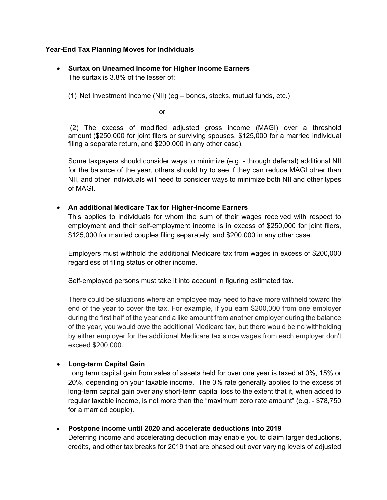## **Year-End Tax Planning Moves for Individuals**

- **Surtax on Unearned Income for Higher Income Earners**  The surtax is 3.8% of the lesser of:
	- (1) Net Investment Income (NII) (eg bonds, stocks, mutual funds, etc.)

or

(2) The excess of modified adjusted gross income (MAGI) over a threshold amount (\$250,000 for joint filers or surviving spouses, \$125,000 for a married individual filing a separate return, and \$200,000 in any other case).

Some taxpayers should consider ways to minimize (e.g. - through deferral) additional NII for the balance of the year, others should try to see if they can reduce MAGI other than NII, and other individuals will need to consider ways to minimize both NII and other types of MAGI.

## **An additional Medicare Tax for Higher-Income Earners**

This applies to individuals for whom the sum of their wages received with respect to employment and their self-employment income is in excess of \$250,000 for joint filers, \$125,000 for married couples filing separately, and \$200,000 in any other case.

Employers must withhold the additional Medicare tax from wages in excess of \$200,000 regardless of filing status or other income.

Self-employed persons must take it into account in figuring estimated tax.

There could be situations where an employee may need to have more withheld toward the end of the year to cover the tax. For example, if you earn \$200,000 from one employer during the first half of the year and a like amount from another employer during the balance of the year, you would owe the additional Medicare tax, but there would be no withholding by either employer for the additional Medicare tax since wages from each employer don't exceed \$200,000.

# **Long-term Capital Gain**

Long term capital gain from sales of assets held for over one year is taxed at 0%, 15% or 20%, depending on your taxable income. The 0% rate generally applies to the excess of long-term capital gain over any short-term capital loss to the extent that it, when added to regular taxable income, is not more than the "maximum zero rate amount" (e.g. - \$78,750 for a married couple).

**Postpone income until 2020 and accelerate deductions into 2019**

Deferring income and accelerating deduction may enable you to claim larger deductions, credits, and other tax breaks for 2019 that are phased out over varying levels of adjusted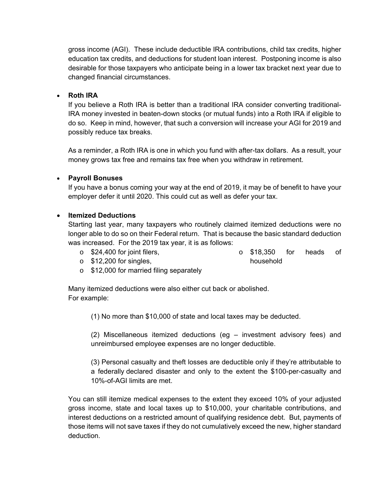gross income (AGI). These include deductible IRA contributions, child tax credits, higher education tax credits, and deductions for student loan interest. Postponing income is also desirable for those taxpayers who anticipate being in a lower tax bracket next year due to changed financial circumstances.

### **Roth IRA**

If you believe a Roth IRA is better than a traditional IRA consider converting traditional-IRA money invested in beaten-down stocks (or mutual funds) into a Roth IRA if eligible to do so. Keep in mind, however, that such a conversion will increase your AGI for 2019 and possibly reduce tax breaks.

As a reminder, a Roth IRA is one in which you fund with after-tax dollars. As a result, your money grows tax free and remains tax free when you withdraw in retirement.

### **Payroll Bonuses**

If you have a bonus coming your way at the end of 2019, it may be of benefit to have your employer defer it until 2020. This could cut as well as defer your tax.

### **Itemized Deductions**

Starting last year, many taxpayers who routinely claimed itemized deductions were no longer able to do so on their Federal return. That is because the basic standard deduction was increased. For the 2019 tax year, it is as follows:

- o \$24,400 for joint filers, o \$18,350 for heads of
- $\circ$  \$12,200 for singles,

household

o \$12,000 for married filing separately

Many itemized deductions were also either cut back or abolished. For example:

(1) No more than \$10,000 of state and local taxes may be deducted.

(2) Miscellaneous itemized deductions (eg – investment advisory fees) and unreimbursed employee expenses are no longer deductible.

(3) Personal casualty and theft losses are deductible only if they're attributable to a federally declared disaster and only to the extent the \$100-per-casualty and 10%-of-AGI limits are met.

You can still itemize medical expenses to the extent they exceed 10% of your adjusted gross income, state and local taxes up to \$10,000, your charitable contributions, and interest deductions on a restricted amount of qualifying residence debt. But, payments of those items will not save taxes if they do not cumulatively exceed the new, higher standard deduction.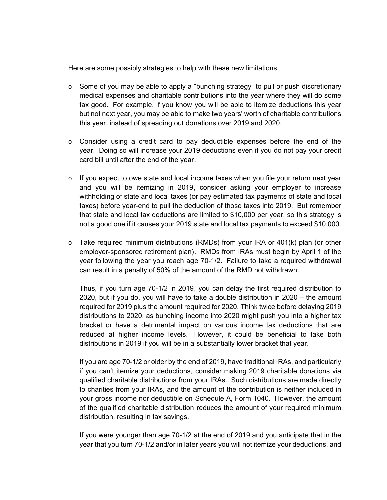Here are some possibly strategies to help with these new limitations.

- $\circ$  Some of you may be able to apply a "bunching strategy" to pull or push discretionary medical expenses and charitable contributions into the year where they will do some tax good. For example, if you know you will be able to itemize deductions this year but not next year, you may be able to make two years' worth of charitable contributions this year, instead of spreading out donations over 2019 and 2020.
- $\circ$  Consider using a credit card to pay deductible expenses before the end of the year. Doing so will increase your 2019 deductions even if you do not pay your credit card bill until after the end of the year.
- $\circ$  If you expect to owe state and local income taxes when you file your return next year and you will be itemizing in 2019, consider asking your employer to increase withholding of state and local taxes (or pay estimated tax payments of state and local taxes) before year-end to pull the deduction of those taxes into 2019. But remember that state and local tax deductions are limited to \$10,000 per year, so this strategy is not a good one if it causes your 2019 state and local tax payments to exceed \$10,000.
- o Take required minimum distributions (RMDs) from your IRA or 401(k) plan (or other employer-sponsored retirement plan). RMDs from IRAs must begin by April 1 of the year following the year you reach age 70-1/2. Failure to take a required withdrawal can result in a penalty of 50% of the amount of the RMD not withdrawn.

Thus, if you turn age 70-1/2 in 2019, you can delay the first required distribution to 2020, but if you do, you will have to take a double distribution in 2020 – the amount required for 2019 plus the amount required for 2020. Think twice before delaying 2019 distributions to 2020, as bunching income into 2020 might push you into a higher tax bracket or have a detrimental impact on various income tax deductions that are reduced at higher income levels. However, it could be beneficial to take both distributions in 2019 if you will be in a substantially lower bracket that year.

If you are age 70-1/2 or older by the end of 2019, have traditional IRAs, and particularly if you can't itemize your deductions, consider making 2019 charitable donations via qualified charitable distributions from your IRAs. Such distributions are made directly to charities from your IRAs, and the amount of the contribution is neither included in your gross income nor deductible on Schedule A, Form 1040. However, the amount of the qualified charitable distribution reduces the amount of your required minimum distribution, resulting in tax savings.

If you were younger than age 70-1/2 at the end of 2019 and you anticipate that in the year that you turn 70-1/2 and/or in later years you will not itemize your deductions, and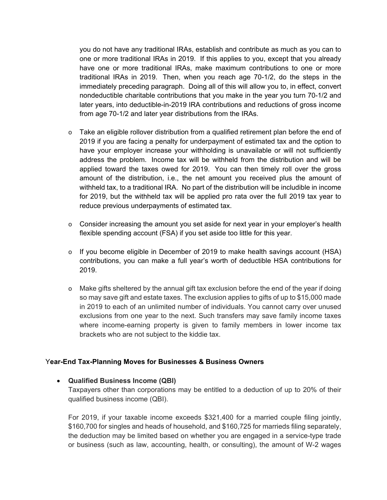you do not have any traditional IRAs, establish and contribute as much as you can to one or more traditional IRAs in 2019. If this applies to you, except that you already have one or more traditional IRAs, make maximum contributions to one or more traditional IRAs in 2019. Then, when you reach age 70-1/2, do the steps in the immediately preceding paragraph. Doing all of this will allow you to, in effect, convert nondeductible charitable contributions that you make in the year you turn 70-1/2 and later years, into deductible-in-2019 IRA contributions and reductions of gross income from age 70-1/2 and later year distributions from the IRAs.

- o Take an eligible rollover distribution from a qualified retirement plan before the end of 2019 if you are facing a penalty for underpayment of estimated tax and the option to have your employer increase your withholding is unavailable or will not sufficiently address the problem. Income tax will be withheld from the distribution and will be applied toward the taxes owed for 2019. You can then timely roll over the gross amount of the distribution, i.e., the net amount you received plus the amount of withheld tax, to a traditional IRA. No part of the distribution will be includible in income for 2019, but the withheld tax will be applied pro rata over the full 2019 tax year to reduce previous underpayments of estimated tax.
- $\circ$  Consider increasing the amount you set aside for next year in your employer's health flexible spending account (FSA) if you set aside too little for this year.
- $\circ$  If you become eligible in December of 2019 to make health savings account (HSA) contributions, you can make a full year's worth of deductible HSA contributions for 2019.
- o Make gifts sheltered by the annual gift tax exclusion before the end of the year if doing so may save gift and estate taxes. The exclusion applies to gifts of up to \$15,000 made in 2019 to each of an unlimited number of individuals. You cannot carry over unused exclusions from one year to the next. Such transfers may save family income taxes where income-earning property is given to family members in lower income tax brackets who are not subject to the kiddie tax.

### Y**ear-End Tax-Planning Moves for Businesses & Business Owners**

### **Qualified Business Income (QBI)**

Taxpayers other than corporations may be entitled to a deduction of up to 20% of their qualified business income (QBI).

For 2019, if your taxable income exceeds \$321,400 for a married couple filing jointly, \$160,700 for singles and heads of household, and \$160,725 for marrieds filing separately, the deduction may be limited based on whether you are engaged in a service-type trade or business (such as law, accounting, health, or consulting), the amount of W-2 wages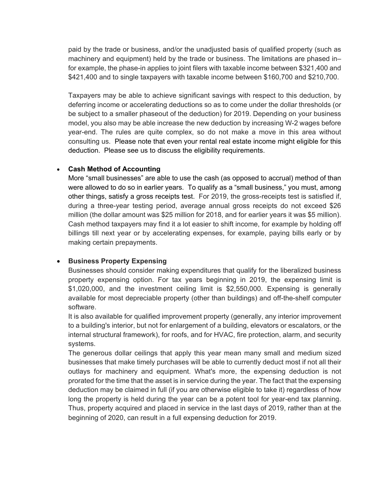paid by the trade or business, and/or the unadjusted basis of qualified property (such as machinery and equipment) held by the trade or business. The limitations are phased in– for example, the phase-in applies to joint filers with taxable income between \$321,400 and \$421,400 and to single taxpayers with taxable income between \$160,700 and \$210,700.

Taxpayers may be able to achieve significant savings with respect to this deduction, by deferring income or accelerating deductions so as to come under the dollar thresholds (or be subject to a smaller phaseout of the deduction) for 2019. Depending on your business model, you also may be able increase the new deduction by increasing W-2 wages before year-end. The rules are quite complex, so do not make a move in this area without consulting us. Please note that even your rental real estate income might eligible for this deduction. Please see us to discuss the eligibility requirements.

### **Cash Method of Accounting**

More "small businesses" are able to use the cash (as opposed to accrual) method of than were allowed to do so in earlier years. To qualify as a "small business," you must, among other things, satisfy a gross receipts test. For 2019, the gross-receipts test is satisfied if, during a three-year testing period, average annual gross receipts do not exceed \$26 million (the dollar amount was \$25 million for 2018, and for earlier years it was \$5 million). Cash method taxpayers may find it a lot easier to shift income, for example by holding off billings till next year or by accelerating expenses, for example, paying bills early or by making certain prepayments.

# **• Business Property Expensing**

Businesses should consider making expenditures that qualify for the liberalized business property expensing option. For tax years beginning in 2019, the expensing limit is \$1,020,000, and the investment ceiling limit is \$2,550,000. Expensing is generally available for most depreciable property (other than buildings) and off-the-shelf computer software.

It is also available for qualified improvement property (generally, any interior improvement to a building's interior, but not for enlargement of a building, elevators or escalators, or the internal structural framework), for roofs, and for HVAC, fire protection, alarm, and security systems.

The generous dollar ceilings that apply this year mean many small and medium sized businesses that make timely purchases will be able to currently deduct most if not all their outlays for machinery and equipment. What's more, the expensing deduction is not prorated for the time that the asset is in service during the year. The fact that the expensing deduction may be claimed in full (if you are otherwise eligible to take it) regardless of how long the property is held during the year can be a potent tool for year-end tax planning. Thus, property acquired and placed in service in the last days of 2019, rather than at the beginning of 2020, can result in a full expensing deduction for 2019.